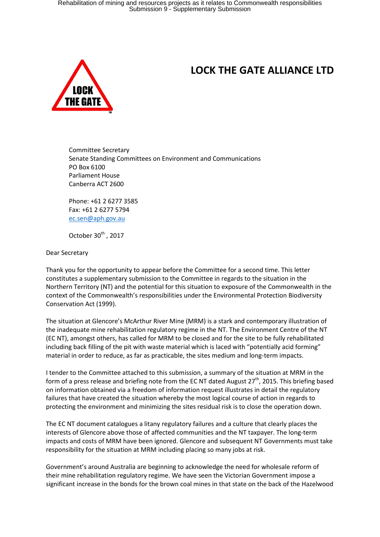

## **LOCK THE GATE ALLIANCE LTD**

Committee Secretary Senate Standing Committees on Environment and Communications PO Box 6100 Parliament House Canberra ACT 2600

Phone: +61 2 6277 3585 Fax: +61 2 6277 5794 [ec.sen@aph.gov.au](mailto:ec.sen@aph.gov.au)

October  $30^{th}$  , 2017

Dear Secretary

Thank you for the opportunity to appear before the Committee for a second time. This letter constitutes a supplementary submission to the Committee in regards to the situation in the Northern Territory (NT) and the potential for this situation to exposure of the Commonwealth in the context of the Commonwealth's responsibilities under the Environmental Protection Biodiversity Conservation Act (1999).

The situation at Glencore's McArthur River Mine (MRM) is a stark and contemporary illustration of the inadequate mine rehabilitation regulatory regime in the NT. The Environment Centre of the NT (EC NT), amongst others, has called for MRM to be closed and for the site to be fully rehabilitated including back filling of the pit with waste material which is laced with "potentially acid forming" material in order to reduce, as far as practicable, the sites medium and long-term impacts.

I tender to the Committee attached to this submission, a summary of the situation at MRM in the form of a press release and briefing note from the EC NT dated August  $27<sup>th</sup>$ , 2015. This briefing based on information obtained via a freedom of information request illustrates in detail the regulatory failures that have created the situation whereby the most logical course of action in regards to protecting the environment and minimizing the sites residual risk is to close the operation down.

The EC NT document catalogues a litany regulatory failures and a culture that clearly places the interests of Glencore above those of affected communities and the NT taxpayer. The long-term impacts and costs of MRM have been ignored. Glencore and subsequent NT Governments must take responsibility for the situation at MRM including placing so many jobs at risk.

Government's around Australia are beginning to acknowledge the need for wholesale reform of their mine rehabilitation regulatory regime. We have seen the Victorian Government impose a significant increase in the bonds for the brown coal mines in that state on the back of the Hazelwood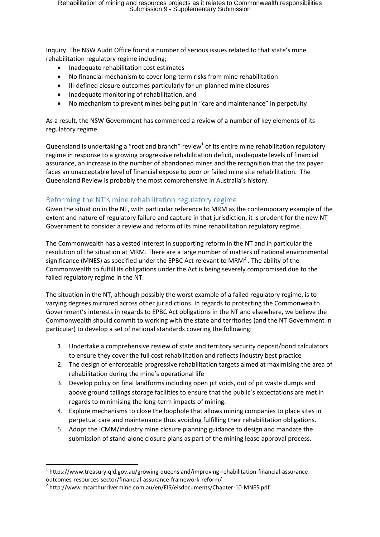Inquiry. The NSW Audit Office found a number of serious issues related to that state's mine rehabilitation regulatory regime including;

- Inadequate rehabilitation cost estimates
- No financial mechanism to cover long-term risks from mine rehabilitation
- Ill-defined closure outcomes particularly for un-planned mine closures
- Inadequate monitoring of rehabilitation, and
- No mechanism to prevent mines being put in "care and maintenance" in perpetuity

As a result, the NSW Government has commenced a review of a number of key elements of its regulatory regime.

Queensland is undertaking a "root and branch" review<sup>1</sup> of its entire mine rehabilitation regulatory regime in response to a growing progressive rehabilitation deficit, inadequate levels of financial assurance, an increase in the number of abandoned mines and the recognition that the tax payer faces an unacceptable level of financial expose to poor or failed mine site rehabilitation. The Queensland Review is probably the most comprehensive in Australia's history.

## Reforming the NT's mine rehabilitation regulatory regime

Given the situation in the NT, with particular reference to MRM as the contemporary example of the extent and nature of regulatory failure and capture in that jurisdiction, it is prudent for the new NT Government to consider a review and reform of its mine rehabilitation regulatory regime.

The Commonwealth has a vested interest in supporting reform in the NT and in particular the resolution of the situation at MRM. There are a large number of matters of national environmental significance (MNES) as specified under the EPBC Act relevant to MRM<sup>2</sup>. The ability of the Commonwealth to fulfill its obligations under the Act is being severely compromised due to the failed regulatory regime in the NT.

The situation in the NT, although possibly the worst example of a failed regulatory regime, is to varying degrees mirrored across other jurisdictions. In regards to protecting the Commonwealth Government's interests in regards to EPBC Act obligations in the NT and elsewhere, we believe the Commonwealth should commit to working with the state and territories (and the NT Government in particular) to develop a set of national standards covering the following:

- 1. Undertake a comprehensive review of state and territory security deposit/bond calculators to ensure they cover the full cost rehabilitation and reflects industry best practice
- 2. The design of enforceable progressive rehabilitation targets aimed at maximising the area of rehabilitation during the mine's operational life
- 3. Develop policy on final landforms including open pit voids, out of pit waste dumps and above ground tailings storage facilities to ensure that the public's expectations are met in regards to minimising the long-term impacts of mining.
- 4. Explore mechanisms to close the loophole that allows mining companies to place sites in perpetual care and maintenance thus avoiding fulfilling their rehabilitation obligations.
- 5. Adopt the ICMM/industry mine closure planning guidance to design and mandate the submission of stand-alone closure plans as part of the mining lease approval process.

**.** 

<sup>&</sup>lt;sup>1</sup> https://www.treasury.qld.gov.au/growing-queensland/improving-rehabilitation-financial-assuranceoutcomes-resources-sector/financial-assurance-framework-reform/

<sup>&</sup>lt;sup>2</sup> http://www.mcarthurrivermine.com.au/en/EIS/eisdocuments/Chapter-10-MNES.pdf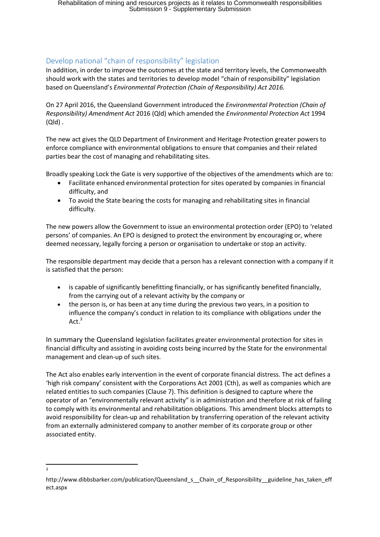## Develop national "chain of responsibility" legislation

In addition, in order to improve the outcomes at the state and territory levels, the Commonwealth should work with the states and territories to develop model "chain of responsibility" legislation based on Queensland's *Environmental Protection (Chain of Responsibility) Act 2016.* 

On 27 April 2016, the Queensland Government introduced the *Environmental Protection (Chain of Responsibility) Amendment Act* 2016 (Qld) which amended the *Environmental Protection Act* 1994 (Qld) .

The new act gives the QLD Department of Environment and Heritage Protection greater powers to enforce compliance with environmental obligations to ensure that companies and their related parties bear the cost of managing and rehabilitating sites.

Broadly speaking Lock the Gate is very supportive of the objectives of the amendments which are to:

- Facilitate enhanced environmental protection for sites operated by companies in financial difficulty, and
- To avoid the State bearing the costs for managing and rehabilitating sites in financial difficulty.

The new powers allow the Government to issue an environmental protection order (EPO) to 'related persons' of companies. An EPO is designed to protect the environment by encouraging or, where deemed necessary, legally forcing a person or organisation to undertake or stop an activity.

The responsible department may decide that a person has a relevant connection with a company if it is satisfied that the person:

- is capable of significantly benefitting financially, or has significantly benefited financially, from the carrying out of a relevant activity by the company or
- the person is, or has been at any time during the previous two years, in a position to influence the company's conduct in relation to its compliance with obligations under the  $Act.<sup>3</sup>$

In summary the Queensland legislation facilitates greater environmental protection for sites in financial difficulty and assisting in avoiding costs being incurred by the State for the environmental management and clean-up of such sites.

The Act also enables early intervention in the event of corporate financial distress. The act defines a 'high risk company' consistent with the Corporations Act 2001 (Cth), as well as companies which are related entities to such companies (Clause 7). This definition is designed to capture where the operator of an "environmentally relevant activity" is in administration and therefore at risk of failing to comply with its environmental and rehabilitation obligations. This amendment blocks attempts to avoid responsibility for clean-up and rehabilitation by transferring operation of the relevant activity from an externally administered company to another member of its corporate group or other associated entity.

**.** 3

http://www.dibbsbarker.com/publication/Queensland s Chain of Responsibility guideline has taken eff ect.aspx